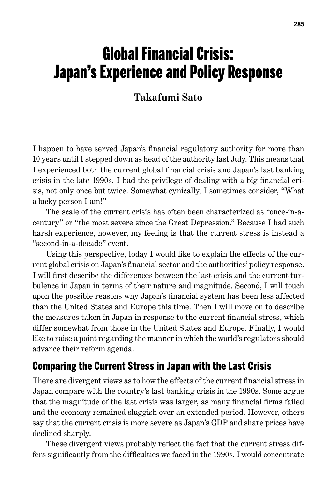# Global Financial Crisis: Japan's Experience and Policy Response

#### **Takafumi Sato**

I happen to have served Japan's financial regulatory authority for more than 10 years until I stepped down as head of the authority last July. This means that I experienced both the current global financial crisis and Japan's last banking crisis in the late 1990s. I had the privilege of dealing with a big financial crisis, not only once but twice. Somewhat cynically, I sometimes consider, "What a lucky person I am!"

The scale of the current crisis has often been characterized as "once-in-acentury" or "the most severe since the Great Depression." Because I had such harsh experience, however, my feeling is that the current stress is instead a "second-in-a-decade" event.

Using this perspective, today I would like to explain the effects of the current global crisis on Japan's financial sector and the authorities' policy response. I will first describe the differences between the last crisis and the current turbulence in Japan in terms of their nature and magnitude. Second, I will touch upon the possible reasons why Japan's financial system has been less affected than the United States and Europe this time. Then I will move on to describe the measures taken in Japan in response to the current financial stress, which differ somewhat from those in the United States and Europe. Finally, I would like to raise a point regarding the manner in which the world's regulators should advance their reform agenda.

#### Comparing the Current Stress in Japan with the Last Crisis

There are divergent views as to how the effects of the current financial stress in Japan compare with the country's last banking crisis in the 1990s. Some argue that the magnitude of the last crisis was larger, as many financial firms failed and the economy remained sluggish over an extended period. However, others say that the current crisis is more severe as Japan's GDP and share prices have declined sharply.

These divergent views probably reflect the fact that the current stress differs significantly from the difficulties we faced in the 1990s. I would concentrate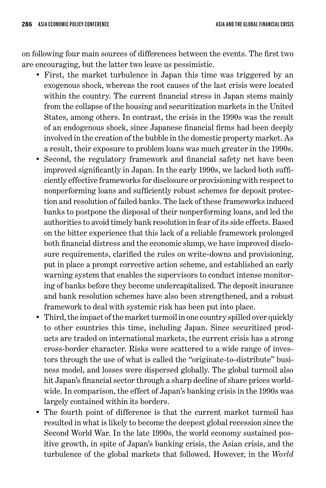on following four main sources of differences between the events. The first two are encouraging, but the latter two leave us pessimistic.

- First, the market turbulence in Japan this time was triggered by an exogenous shock, whereas the root causes of the last crisis were located within the country. The current financial stress in Japan stems mainly from the collapse of the housing and securitization markets in the United States, among others. In contrast, the crisis in the 1990s was the result of an endogenous shock, since Japanese financial firms had been deeply involved in the creation of the bubble in the domestic property market. As a result, their exposure to problem loans was much greater in the 1990s.
- Second, the regulatory framework and financial safety net have been improved significantly in Japan. In the early 1990s, we lacked both sufficiently effective frameworks for disclosure or provisioning with respect to nonperforming loans and sufficiently robust schemes for deposit protection and resolution of failed banks. The lack of these frameworks induced banks to postpone the disposal of their nonperforming loans, and led the authorities to avoid timely bank resolution in fear of its side effects. Based on the bitter experience that this lack of a reliable framework prolonged both financial distress and the economic slump, we have improved disclosure requirements, clarified the rules on write-downs and provisioning, put in place a prompt corrective action scheme, and established an early warning system that enables the supervisors to conduct intense monitoring of banks before they become undercapitalized. The deposit insurance and bank resolution schemes have also been strengthened, and a robust framework to deal with systemic risk has been put into place.
- Third, the impact of the market turmoil in one country spilled over quickly to other countries this time, including Japan. Since securitized products are traded on international markets, the current crisis has a strong cross-border character. Risks were scattered to a wide range of investors through the use of what is called the "originate-to-distribute" business model, and losses were dispersed globally. The global turmoil also hit Japan's financial sector through a sharp decline of share prices worldwide. In comparison, the effect of Japan's banking crisis in the 1990s was largely contained within its borders.
- The fourth point of difference is that the current market turmoil has resulted in what is likely to become the deepest global recession since the Second World War. In the late 1990s, the world economy sustained positive growth, in spite of Japan's banking crisis, the Asian crisis, and the turbulence of the global markets that followed. However, in the *World*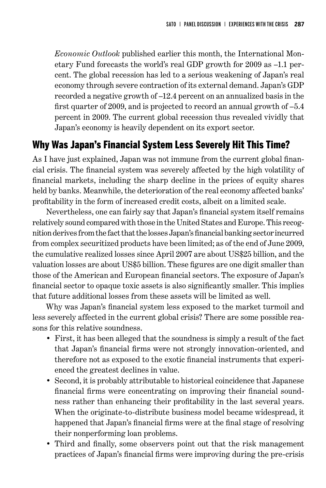*Economic Outlook* published earlier this month, the International Monetary Fund forecasts the world's real GDP growth for 2009 as –1.1 percent. The global recession has led to a serious weakening of Japan's real economy through severe contraction of its external demand. Japan's GDP recorded a negative growth of –12.4 percent on an annualized basis in the first quarter of 2009, and is projected to record an annual growth of –5.4 percent in 2009. The current global recession thus revealed vividly that Japan's economy is heavily dependent on its export sector.

## Why Was Japan's Financial System Less Severely Hit This Time?

As I have just explained, Japan was not immune from the current global financial crisis. The financial system was severely affected by the high volatility of financial markets, including the sharp decline in the prices of equity shares held by banks. Meanwhile, the deterioration of the real economy affected banks' profitability in the form of increased credit costs, albeit on a limited scale.

Nevertheless, one can fairly say that Japan's financial system itself remains relatively sound compared with those in the United States and Europe. This recognition derives from the fact that the losses Japan's financial banking sector incurred from complex securitized products have been limited; as of the end of June 2009, the cumulative realized losses since April 2007 are about US\$25 billion, and the valuation losses are about US\$5 billion. These figures are one digit smaller than those of the American and European financial sectors. The exposure of Japan's financial sector to opaque toxic assets is also significantly smaller. This implies that future additional losses from these assets will be limited as well.

Why was Japan's financial system less exposed to the market turmoil and less severely affected in the current global crisis? There are some possible reasons for this relative soundness.

- First, it has been alleged that the soundness is simply a result of the fact that Japan's financial firms were not strongly innovation-oriented, and therefore not as exposed to the exotic financial instruments that experienced the greatest declines in value.
- Second, it is probably attributable to historical coincidence that Japanese financial firms were concentrating on improving their financial soundness rather than enhancing their profitability in the last several years. When the originate-to-distribute business model became widespread, it happened that Japan's financial firms were at the final stage of resolving their nonperforming loan problems.
- Third and finally, some observers point out that the risk management practices of Japan's financial firms were improving during the pre-crisis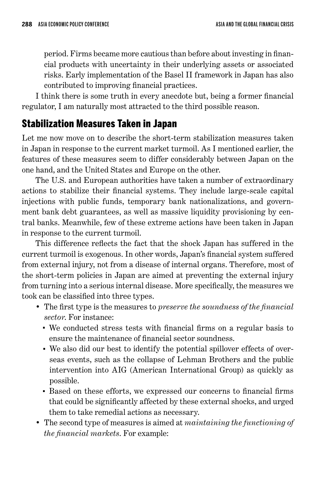period. Firms became more cautious than before about investing in financial products with uncertainty in their underlying assets or associated risks. Early implementation of the Basel II framework in Japan has also contributed to improving financial practices.

I think there is some truth in every anecdote but, being a former financial regulator, I am naturally most attracted to the third possible reason.

# Stabilization Measures Taken in Japan

Let me now move on to describe the short-term stabilization measures taken in Japan in response to the current market turmoil. As I mentioned earlier, the features of these measures seem to differ considerably between Japan on the one hand, and the United States and Europe on the other.

The U.S. and European authorities have taken a number of extraordinary actions to stabilize their financial systems. They include large-scale capital injections with public funds, temporary bank nationalizations, and government bank debt guarantees, as well as massive liquidity provisioning by central banks. Meanwhile, few of these extreme actions have been taken in Japan in response to the current turmoil.

This difference reflects the fact that the shock Japan has suffered in the current turmoil is exogenous. In other words, Japan's financial system suffered from external injury, not from a disease of internal organs. Therefore, most of the short-term policies in Japan are aimed at preventing the external injury from turning into a serious internal disease. More specifically, the measures we took can be classified into three types.

- The first type is the measures to *preserve the soundness of the financial sector*. For instance:
	- We conducted stress tests with financial firms on a regular basis to ensure the maintenance of financial sector soundness.
	- We also did our best to identify the potential spillover effects of overseas events, such as the collapse of Lehman Brothers and the public intervention into AIG (American International Group) as quickly as possible.
	- Based on these efforts, we expressed our concerns to financial firms that could be significantly affected by these external shocks, and urged them to take remedial actions as necessary.
- The second type of measures is aimed at *maintaining the functioning of the financial markets*. For example: